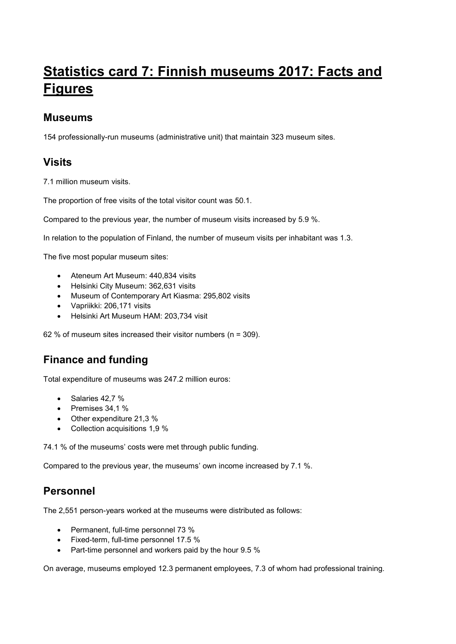# **Statistics card 7: Finnish museums 2017: Facts and Figures**

### **Museums**

154 professionally-run museums (administrative unit) that maintain 323 museum sites.

# **Visits**

7.1 million museum visits.

The proportion of free visits of the total visitor count was 50.1.

Compared to the previous year, the number of museum visits increased by 5.9 %.

In relation to the population of Finland, the number of museum visits per inhabitant was 1.3.

The five most popular museum sites:

- Ateneum Art Museum: 440,834 visits
- Helsinki City Museum: 362,631 visits
- Museum of Contemporary Art Kiasma: 295,802 visits
- Vapriikki: 206,171 visits
- Helsinki Art Museum HAM: 203,734 visit

62 % of museum sites increased their visitor numbers (n = 309).

# **Finance and funding**

Total expenditure of museums was 247.2 million euros:

- $\bullet$  Salaries 42.7 %
- $\bullet$  Premises 34,1 %
- Other expenditure 21,3 %
- Collection acquisitions 1,9 %

74.1 % of the museums' costs were met through public funding.

Compared to the previous year, the museums' own income increased by 7.1 %.

# **Personnel**

The 2,551 person-years worked at the museums were distributed as follows:

- Permanent, full-time personnel 73 %
- Fixed-term, full-time personnel 17.5 %
- Part-time personnel and workers paid by the hour 9.5 %

On average, museums employed 12.3 permanent employees, 7.3 of whom had professional training.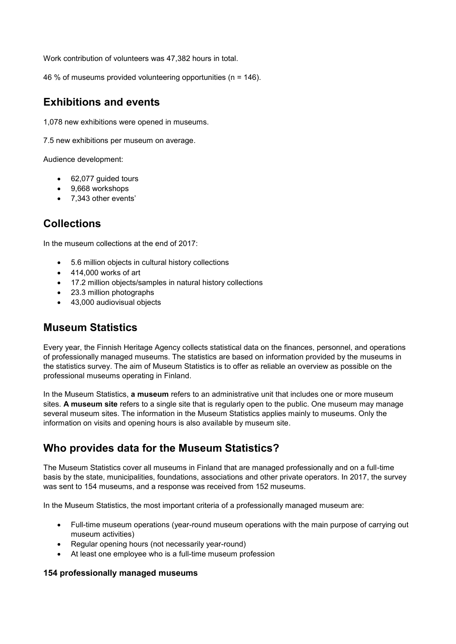Work contribution of volunteers was 47,382 hours in total.

46 % of museums provided volunteering opportunities (n = 146).

### **Exhibitions and events**

1,078 new exhibitions were opened in museums.

7.5 new exhibitions per museum on average.

Audience development:

- 62,077 guided tours
- 9,668 workshops
- 7,343 other events'

# **Collections**

In the museum collections at the end of 2017:

- 5.6 million objects in cultural history collections
- 414,000 works of art
- 17.2 million objects/samples in natural history collections
- 23.3 million photographs
- 43,000 audiovisual objects

### **Museum Statistics**

Every year, the Finnish Heritage Agency collects statistical data on the finances, personnel, and operations of professionally managed museums. The statistics are based on information provided by the museums in the statistics survey. The aim of Museum Statistics is to offer as reliable an overview as possible on the professional museums operating in Finland.

In the Museum Statistics, **a museum** refers to an administrative unit that includes one or more museum sites. **A museum site** refers to a single site that is regularly open to the public. One museum may manage several museum sites. The information in the Museum Statistics applies mainly to museums. Only the information on visits and opening hours is also available by museum site.

# **Who provides data for the Museum Statistics?**

The Museum Statistics cover all museums in Finland that are managed professionally and on a full-time basis by the state, municipalities, foundations, associations and other private operators. In 2017, the survey was sent to 154 museums, and a response was received from 152 museums.

In the Museum Statistics, the most important criteria of a professionally managed museum are:

- Full-time museum operations (year-round museum operations with the main purpose of carrying out museum activities)
- Regular opening hours (not necessarily year-round)
- At least one employee who is a full-time museum profession

#### **154 professionally managed museums**